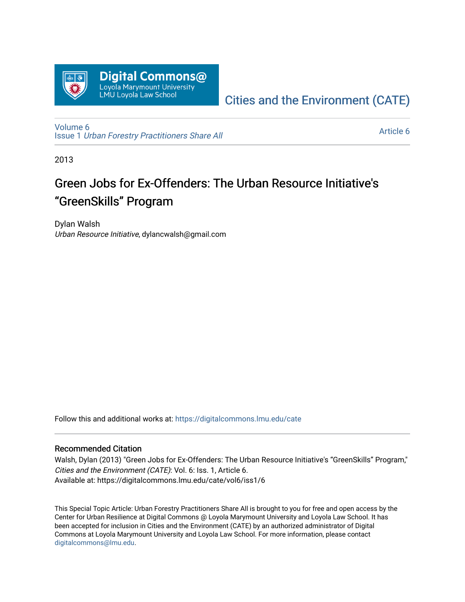

## [Cities and the Environment \(CATE\)](https://digitalcommons.lmu.edu/cate)

[Volume 6](https://digitalcommons.lmu.edu/cate/vol6) Issue 1 [Urban Forestry Practitioners Share All](https://digitalcommons.lmu.edu/cate/vol6/iss1) 

[Article 6](https://digitalcommons.lmu.edu/cate/vol6/iss1/6) 

2013

# Green Jobs for Ex-Offenders: The Urban Resource Initiative's "GreenSkills" Program

Dylan Walsh Urban Resource Initiative, dylancwalsh@gmail.com

Follow this and additional works at: [https://digitalcommons.lmu.edu/cate](https://digitalcommons.lmu.edu/cate?utm_source=digitalcommons.lmu.edu%2Fcate%2Fvol6%2Fiss1%2F6&utm_medium=PDF&utm_campaign=PDFCoverPages) 

#### Recommended Citation

Walsh, Dylan (2013) "Green Jobs for Ex-Offenders: The Urban Resource Initiative's "GreenSkills" Program," Cities and the Environment (CATE): Vol. 6: Iss. 1, Article 6. Available at: https://digitalcommons.lmu.edu/cate/vol6/iss1/6

This Special Topic Article: Urban Forestry Practitioners Share All is brought to you for free and open access by the Center for Urban Resilience at Digital Commons @ Loyola Marymount University and Loyola Law School. It has been accepted for inclusion in Cities and the Environment (CATE) by an authorized administrator of Digital Commons at Loyola Marymount University and Loyola Law School. For more information, please contact [digitalcommons@lmu.edu](mailto:digitalcommons@lmu.edu).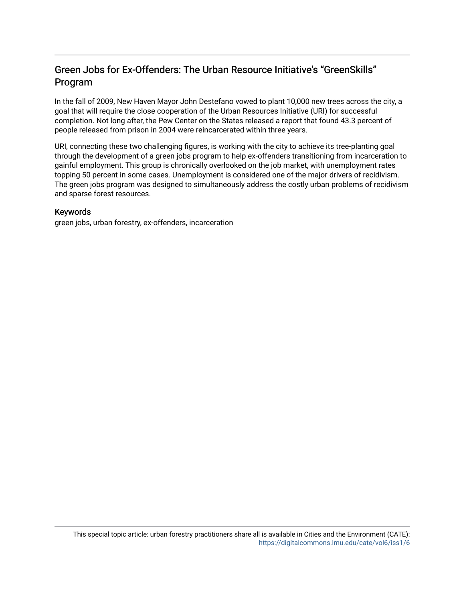### Green Jobs for Ex-Offenders: The Urban Resource Initiative's "GreenSkills" Program

In the fall of 2009, New Haven Mayor John Destefano vowed to plant 10,000 new trees across the city, a goal that will require the close cooperation of the Urban Resources Initiative (URI) for successful completion. Not long after, the Pew Center on the States released a report that found 43.3 percent of people released from prison in 2004 were reincarcerated within three years.

URI, connecting these two challenging figures, is working with the city to achieve its tree-planting goal through the development of a green jobs program to help ex-offenders transitioning from incarceration to gainful employment. This group is chronically overlooked on the job market, with unemployment rates topping 50 percent in some cases. Unemployment is considered one of the major drivers of recidivism. The green jobs program was designed to simultaneously address the costly urban problems of recidivism and sparse forest resources.

#### Keywords

green jobs, urban forestry, ex-offenders, incarceration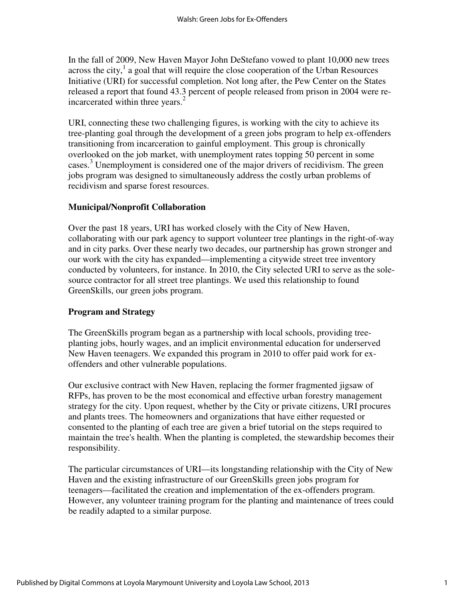In the fall of 2009, New Haven Mayor John DeStefano vowed to plant 10,000 new trees across the city, $<sup>1</sup>$  a goal that will require the close cooperation of the Urban Resources</sup> Initiative (URI) for successful completion. Not long after, the Pew Center on the States released a report that found 43.3 percent of people released from prison in 2004 were reincarcerated within three years. $<sup>2</sup>$ </sup>

URI, connecting these two challenging figures, is working with the city to achieve its tree-planting goal through the development of a green jobs program to help ex-offenders transitioning from incarceration to gainful employment. This group is chronically overlooked on the job market, with unemployment rates topping 50 percent in some cases.<sup>3</sup> Unemployment is considered one of the major drivers of recidivism. The green jobs program was designed to simultaneously address the costly urban problems of recidivism and sparse forest resources.

#### **Municipal/Nonprofit Collaboration**

Over the past 18 years, URI has worked closely with the City of New Haven, collaborating with our park agency to support volunteer tree plantings in the right-of-way and in city parks. Over these nearly two decades, our partnership has grown stronger and our work with the city has expanded—implementing a citywide street tree inventory conducted by volunteers, for instance. In 2010, the City selected URI to serve as the solesource contractor for all street tree plantings. We used this relationship to found GreenSkills, our green jobs program.

#### **Program and Strategy**

The GreenSkills program began as a partnership with local schools, providing treeplanting jobs, hourly wages, and an implicit environmental education for underserved New Haven teenagers. We expanded this program in 2010 to offer paid work for exoffenders and other vulnerable populations.

Our exclusive contract with New Haven, replacing the former fragmented jigsaw of RFPs, has proven to be the most economical and effective urban forestry management strategy for the city. Upon request, whether by the City or private citizens, URI procures and plants trees. The homeowners and organizations that have either requested or consented to the planting of each tree are given a brief tutorial on the steps required to maintain the tree's health. When the planting is completed, the stewardship becomes their responsibility.

The particular circumstances of URI—its longstanding relationship with the City of New Haven and the existing infrastructure of our GreenSkills green jobs program for teenagers—facilitated the creation and implementation of the ex-offenders program. However, any volunteer training program for the planting and maintenance of trees could be readily adapted to a similar purpose.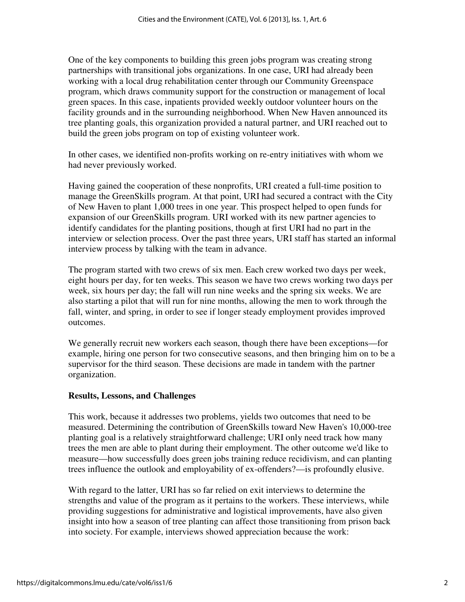One of the key components to building this green jobs program was creating strong partnerships with transitional jobs organizations. In one case, URI had already been working with a local drug rehabilitation center through our Community Greenspace program, which draws community support for the construction or management of local green spaces. In this case, inpatients provided weekly outdoor volunteer hours on the facility grounds and in the surrounding neighborhood. When New Haven announced its tree planting goals, this organization provided a natural partner, and URI reached out to build the green jobs program on top of existing volunteer work.

In other cases, we identified non-profits working on re-entry initiatives with whom we had never previously worked.

Having gained the cooperation of these nonprofits, URI created a full-time position to manage the GreenSkills program. At that point, URI had secured a contract with the City of New Haven to plant 1,000 trees in one year. This prospect helped to open funds for expansion of our GreenSkills program. URI worked with its new partner agencies to identify candidates for the planting positions, though at first URI had no part in the interview or selection process. Over the past three years, URI staff has started an informal interview process by talking with the team in advance.

The program started with two crews of six men. Each crew worked two days per week, eight hours per day, for ten weeks. This season we have two crews working two days per week, six hours per day; the fall will run nine weeks and the spring six weeks. We are also starting a pilot that will run for nine months, allowing the men to work through the fall, winter, and spring, in order to see if longer steady employment provides improved outcomes.

We generally recruit new workers each season, though there have been exceptions—for example, hiring one person for two consecutive seasons, and then bringing him on to be a supervisor for the third season. These decisions are made in tandem with the partner organization.

#### **Results, Lessons, and Challenges**

This work, because it addresses two problems, yields two outcomes that need to be measured. Determining the contribution of GreenSkills toward New Haven's 10,000-tree planting goal is a relatively straightforward challenge; URI only need track how many trees the men are able to plant during their employment. The other outcome we'd like to measure—how successfully does green jobs training reduce recidivism, and can planting trees influence the outlook and employability of ex-offenders?—is profoundly elusive.

With regard to the latter, URI has so far relied on exit interviews to determine the strengths and value of the program as it pertains to the workers. These interviews, while providing suggestions for administrative and logistical improvements, have also given insight into how a season of tree planting can affect those transitioning from prison back into society. For example, interviews showed appreciation because the work: